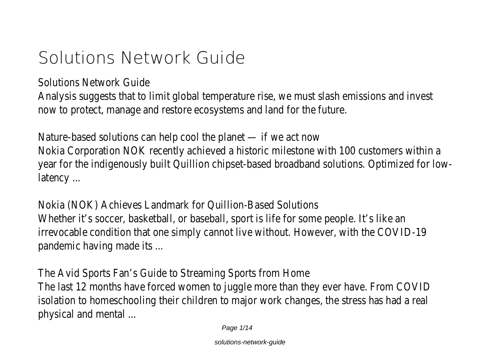# **Solutions Network Guide**

Solutions Network Guide

Analysis suggests that to limit global temperature rise, we must slash emissions and invest now to protect, manage and restore ecosystems and land for the future.

Nature-based solutions can help cool the planet — if we act now Nokia Corporation NOK recently achieved a historic milestone with 100 customers within a year for the indigenously built Quillion chipset-based broadband solutions. Optimized for lowlatency ...

Nokia (NOK) Achieves Landmark for Quillion-Based Solutions Whether it's soccer, basketball, or baseball, sport is life for some people. It's like an irrevocable condition that one simply cannot live without. However, with the COVID-19 pandemic having made its ...

The Avid Sports Fan's Guide to Streaming Sports from Home The last 12 months have forced women to juggle more than they ever have. From COVID isolation to homeschooling their children to major work changes, the stress has had a real physical and mental ...

Page 1/14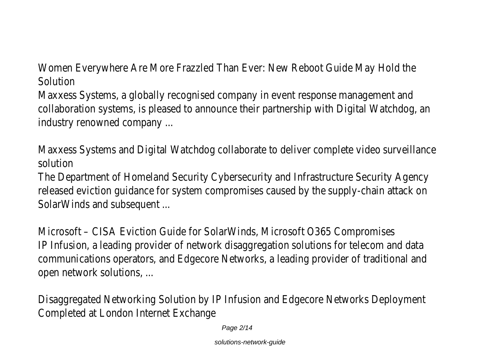Women Everywhere Are More Frazzled Than Ever: New Reboot Guide May Hold the Solution

Maxxess Systems, a globally recognised company in event response management and collaboration systems, is pleased to announce their partnership with Digital Watchdog, an industry renowned company ...

Maxxess Systems and Digital Watchdog collaborate to deliver complete video surveillance solution

The Department of Homeland Security Cybersecurity and Infrastructure Security Agency released eviction guidance for system compromises caused by the supply-chain attack on SolarWinds and subsequent ...

Microsoft – CISA Eviction Guide for SolarWinds, Microsoft O365 Compromises IP Infusion, a leading provider of network disaggregation solutions for telecom and data communications operators, and Edgecore Networks, a leading provider of traditional and open network solutions, ...

Disaggregated Networking Solution by IP Infusion and Edgecore Networks Deployment Completed at London Internet Exchange

Page 2/14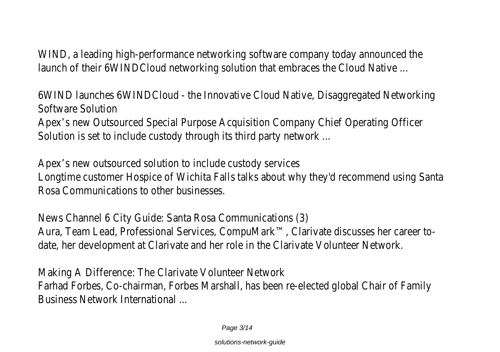WIND, a leading high-performance networking software company today announced the launch of their 6WINDCloud networking solution that embraces the Cloud Native ...

6WIND launches 6WINDCloud - the Innovative Cloud Native, Disaggregated Networking Software Solution

Apex's new Outsourced Special Purpose Acquisition Company Chief Operating Officer Solution is set to include custody through its third party network ...

Apex's new outsourced solution to include custody services Longtime customer Hospice of Wichita Falls talks about why they'd recommend using Santa Rosa Communications to other businesses.

News Channel 6 City Guide: Santa Rosa Communications (3) Aura, Team Lead, Professional Services, CompuMark™, Clarivate discusses her career todate, her development at Clarivate and her role in the Clarivate Volunteer Network.

Making A Difference: The Clarivate Volunteer Network Farhad Forbes, Co-chairman, Forbes Marshall, has been re-elected global Chair of Family Business Network International ...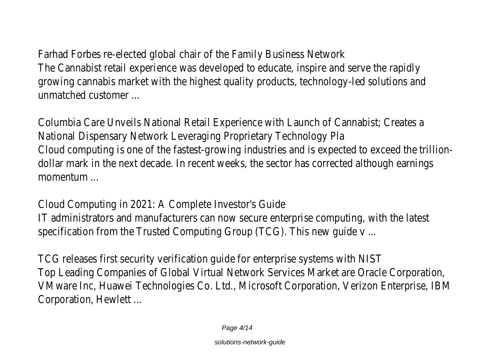Farhad Forbes re-elected global chair of the Family Business Network The Cannabist retail experience was developed to educate, inspire and serve the rapidly growing cannabis market with the highest quality products, technology-led solutions and unmatched customer ...

Columbia Care Unveils National Retail Experience with Launch of Cannabist; Creates a National Dispensary Network Leveraging Proprietary Technology Pla Cloud computing is one of the fastest-growing industries and is expected to exceed the trilliondollar mark in the next decade. In recent weeks, the sector has corrected although earnings momentum ...

Cloud Computing in 2021: A Complete Investor's Guide IT administrators and manufacturers can now secure enterprise computing, with the latest specification from the Trusted Computing Group (TCG). This new guide v ...

TCG releases first security verification guide for enterprise systems with NIST Top Leading Companies of Global Virtual Network Services Market are Oracle Corporation, VMware Inc, Huawei Technologies Co. Ltd., Microsoft Corporation, Verizon Enterprise, IBM Corporation, Hewlett ...

Page 4/14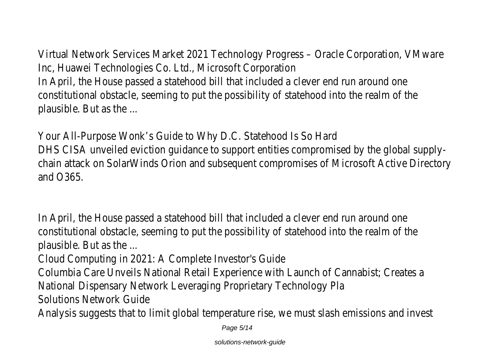Virtual Network Services Market 2021 Technology Progress – Oracle Corporation, VMware Inc, Huawei Technologies Co. Ltd., Microsoft Corporation In April, the House passed a statehood bill that included a clever end run around one constitutional obstacle, seeming to put the possibility of statehood into the realm of the plausible. But as the ...

Your All-Purpose Wonk's Guide to Why D.C. Statehood Is So Hard DHS CISA unveiled eviction guidance to support entities compromised by the global supplychain attack on SolarWinds Orion and subsequent compromises of Microsoft Active Directory and O365.

In April, the House passed a statehood bill that included a clever end run around one constitutional obstacle, seeming to put the possibility of statehood into the realm of the plausible. But as the ...

Cloud Computing in 2021: A Complete Investor's Guide Columbia Care Unveils National Retail Experience with Launch of Cannabist; Creates a National Dispensary Network Leveraging Proprietary Technology Pla Solutions Network Guide

Analysis suggests that to limit global temperature rise, we must slash emissions and invest

Page 5/14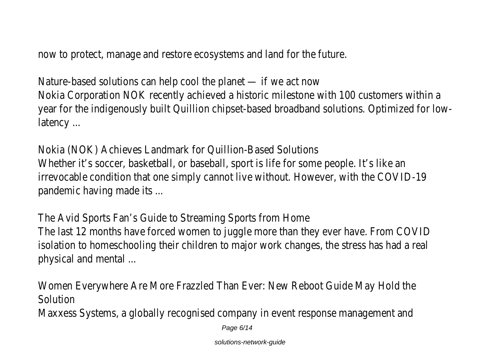now to protect, manage and restore ecosystems and land for the future.

Nature-based solutions can help cool the planet — if we act now Nokia Corporation NOK recently achieved a historic milestone with 100 customers within a year for the indigenously built Quillion chipset-based broadband solutions. Optimized for lowlatency ...

Nokia (NOK) Achieves Landmark for Quillion-Based Solutions Whether it's soccer, basketball, or baseball, sport is life for some people. It's like an irrevocable condition that one simply cannot live without. However, with the COVID-19 pandemic having made its ...

The Avid Sports Fan's Guide to Streaming Sports from Home The last 12 months have forced women to juggle more than they ever have. From COVID isolation to homeschooling their children to major work changes, the stress has had a real physical and mental ...

Women Everywhere Are More Frazzled Than Ever: New Reboot Guide May Hold the Solution Maxxess Systems, a globally recognised company in event response management and

Page 6/14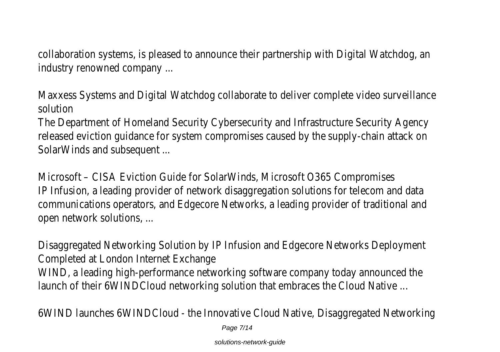collaboration systems, is pleased to announce their partnership with Digital Watchdog, an industry renowned company ...

Maxxess Systems and Digital Watchdog collaborate to deliver complete video surveillance solution

The Department of Homeland Security Cybersecurity and Infrastructure Security Agency released eviction guidance for system compromises caused by the supply-chain attack on SolarWinds and subsequent ...

Microsoft – CISA Eviction Guide for SolarWinds, Microsoft O365 Compromises IP Infusion, a leading provider of network disaggregation solutions for telecom and data communications operators, and Edgecore Networks, a leading provider of traditional and open network solutions, ...

Disaggregated Networking Solution by IP Infusion and Edgecore Networks Deployment Completed at London Internet Exchange

WIND, a leading high-performance networking software company today announced the launch of their 6WINDCloud networking solution that embraces the Cloud Native ...

6WIND launches 6WINDCloud - the Innovative Cloud Native, Disaggregated Networking

Page 7/14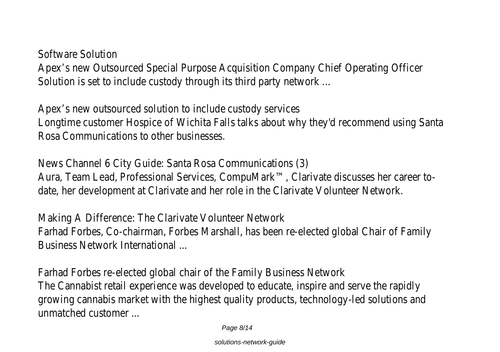Software Solution

Apex's new Outsourced Special Purpose Acquisition Company Chief Operating Officer Solution is set to include custody through its third party network ...

Apex's new outsourced solution to include custody services Longtime customer Hospice of Wichita Falls talks about why they'd recommend using Santa Rosa Communications to other businesses.

News Channel 6 City Guide: Santa Rosa Communications (3) Aura, Team Lead, Professional Services, CompuMark™, Clarivate discusses her career todate, her development at Clarivate and her role in the Clarivate Volunteer Network.

Making A Difference: The Clarivate Volunteer Network Farhad Forbes, Co-chairman, Forbes Marshall, has been re-elected global Chair of Family Business Network International ...

Farhad Forbes re-elected global chair of the Family Business Network The Cannabist retail experience was developed to educate, inspire and serve the rapidly growing cannabis market with the highest quality products, technology-led solutions and unmatched customer ...

Page 8/14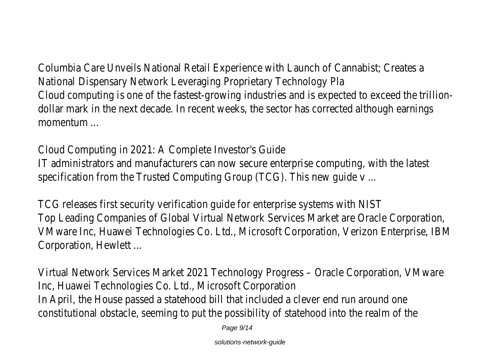Columbia Care Unveils National Retail Experience with Launch of Cannabist; Creates a National Dispensary Network Leveraging Proprietary Technology Pla Cloud computing is one of the fastest-growing industries and is expected to exceed the trilliondollar mark in the next decade. In recent weeks, the sector has corrected although earnings momentum ...

Cloud Computing in 2021: A Complete Investor's Guide IT administrators and manufacturers can now secure enterprise computing, with the latest specification from the Trusted Computing Group (TCG). This new guide v ...

TCG releases first security verification guide for enterprise systems with NIST Top Leading Companies of Global Virtual Network Services Market are Oracle Corporation, VMware Inc, Huawei Technologies Co. Ltd., Microsoft Corporation, Verizon Enterprise, IBM Corporation, Hewlett ...

Virtual Network Services Market 2021 Technology Progress – Oracle Corporation, VMware Inc, Huawei Technologies Co. Ltd., Microsoft Corporation In April, the House passed a statehood bill that included a clever end run around one constitutional obstacle, seeming to put the possibility of statehood into the realm of the

Page 9/14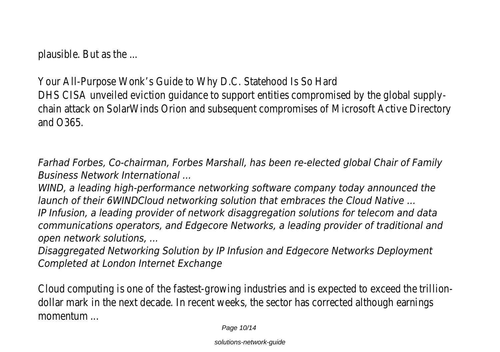plausible. But as the ...

Your All-Purpose Wonk's Guide to Why D.C. Statehood Is So Hard DHS CISA unveiled eviction guidance to support entities compromised by the global supplychain attack on SolarWinds Orion and subsequent compromises of Microsoft Active Directory and O365.

*Farhad Forbes, Co-chairman, Forbes Marshall, has been re-elected global Chair of Family Business Network International ...*

*WIND, a leading high-performance networking software company today announced the launch of their 6WINDCloud networking solution that embraces the Cloud Native ...*

*IP Infusion, a leading provider of network disaggregation solutions for telecom and data communications operators, and Edgecore Networks, a leading provider of traditional and open network solutions, ...*

*Disaggregated Networking Solution by IP Infusion and Edgecore Networks Deployment Completed at London Internet Exchange*

Cloud computing is one of the fastest-growing industries and is expected to exceed the trilliondollar mark in the next decade. In recent weeks, the sector has corrected although earnings momentum ...

Page 10/14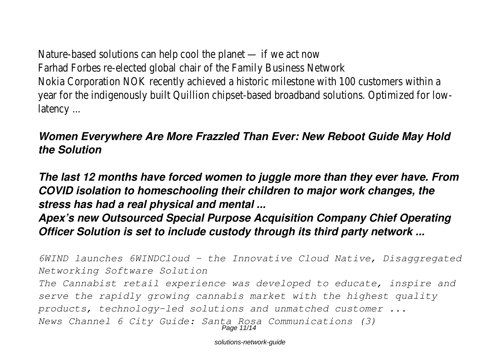Nature-based solutions can help cool the planet — if we act now Farhad Forbes re-elected global chair of the Family Business Network Nokia Corporation NOK recently achieved a historic milestone with 100 customers within a year for the indigenously built Quillion chipset-based broadband solutions. Optimized for lowlatency ...

#### *Women Everywhere Are More Frazzled Than Ever: New Reboot Guide May Hold the Solution*

*The last 12 months have forced women to juggle more than they ever have. From COVID isolation to homeschooling their children to major work changes, the stress has had a real physical and mental ...*

#### *Apex's new Outsourced Special Purpose Acquisition Company Chief Operating Officer Solution is set to include custody through its third party network ...*

*6WIND launches 6WINDCloud - the Innovative Cloud Native, Disaggregated Networking Software Solution The Cannabist retail experience was developed to educate, inspire and serve the rapidly growing cannabis market with the highest quality products, technology-led solutions and unmatched customer ... News Channel 6 City Guide: Santa Rosa Communications (3)* Page 11/14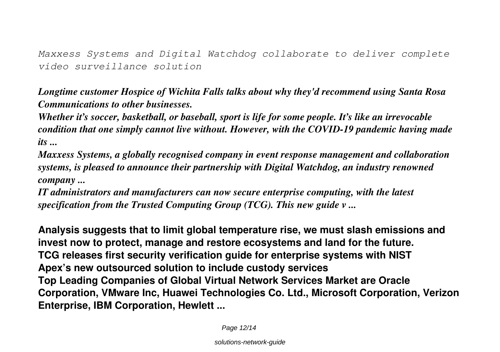*Maxxess Systems and Digital Watchdog collaborate to deliver complete video surveillance solution*

*Longtime customer Hospice of Wichita Falls talks about why they'd recommend using Santa Rosa Communications to other businesses.*

*Whether it's soccer, basketball, or baseball, sport is life for some people. It's like an irrevocable condition that one simply cannot live without. However, with the COVID-19 pandemic having made its ...*

*Maxxess Systems, a globally recognised company in event response management and collaboration systems, is pleased to announce their partnership with Digital Watchdog, an industry renowned company ...*

*IT administrators and manufacturers can now secure enterprise computing, with the latest specification from the Trusted Computing Group (TCG). This new guide v ...*

**Analysis suggests that to limit global temperature rise, we must slash emissions and invest now to protect, manage and restore ecosystems and land for the future. TCG releases first security verification guide for enterprise systems with NIST Apex's new outsourced solution to include custody services Top Leading Companies of Global Virtual Network Services Market are Oracle Corporation, VMware Inc, Huawei Technologies Co. Ltd., Microsoft Corporation, Verizon Enterprise, IBM Corporation, Hewlett ...**

Page 12/14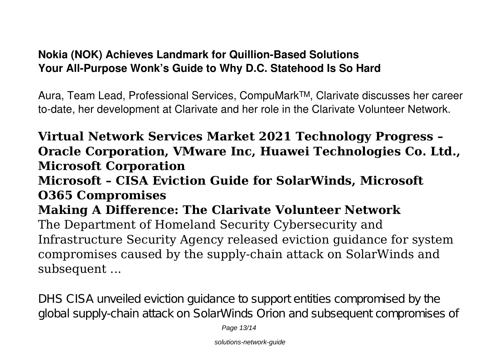### **Nokia (NOK) Achieves Landmark for Quillion-Based Solutions Your All-Purpose Wonk's Guide to Why D.C. Statehood Is So Hard**

Aura, Team Lead, Professional Services, CompuMark™, Clarivate discusses her career to-date, her development at Clarivate and her role in the Clarivate Volunteer Network.

## **Virtual Network Services Market 2021 Technology Progress – Oracle Corporation, VMware Inc, Huawei Technologies Co. Ltd., Microsoft Corporation Microsoft – CISA Eviction Guide for SolarWinds, Microsoft O365 Compromises Making A Difference: The Clarivate Volunteer Network** The Department of Homeland Security Cybersecurity and Infrastructure Security Agency released eviction guidance for system compromises caused by the supply-chain attack on SolarWinds and

subsequent ...

DHS CISA unveiled eviction guidance to support entities compromised by the global supply-chain attack on SolarWinds Orion and subsequent compromises of

Page 13/14